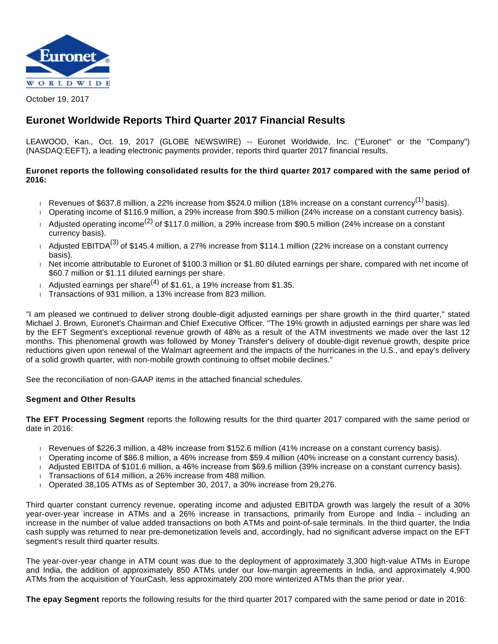

October 19, 2017

# **Euronet Worldwide Reports Third Quarter 2017 Financial Results**

LEAWOOD, Kan., Oct. 19, 2017 (GLOBE NEWSWIRE) -- Euronet Worldwide, Inc. ("Euronet" or the "Company") (NASDAQ:EEFT), a leading electronic payments provider, reports third quarter 2017 financial results.

# **Euronet reports the following consolidated results for the third quarter 2017 compared with the same period of 2016:**

- Revenues of \$637.8 million, a 22% increase from \$524.0 million (18% increase on a constant currency<sup>(1)</sup> basis).
- Operating income of \$116.9 million, a 29% increase from \$90.5 million (24% increase on a constant currency basis).
- Adjusted operating income<sup>(2)</sup> of \$117.0 million, a 29% increase from \$90.5 million (24% increase on a constant currency basis).
- Adjusted EBITDA<sup>(3)</sup> of \$145.4 million, a 27% increase from \$114.1 million (22% increase on a constant currency basis).
- Net income attributable to Euronet of \$100.3 million or \$1.80 diluted earnings per share, compared with net income of \$60.7 million or \$1.11 diluted earnings per share.
- Adjusted earnings per share<sup>(4)</sup> of \$1.61, a 19% increase from \$1.35.
- Transactions of 931 million, a 13% increase from 823 million.

"I am pleased we continued to deliver strong double-digit adjusted earnings per share growth in the third quarter," stated Michael J. Brown, Euronet's Chairman and Chief Executive Officer. "The 19% growth in adjusted earnings per share was led by the EFT Segment's exceptional revenue growth of 48% as a result of the ATM investments we made over the last 12 months. This phenomenal growth was followed by Money Transfer's delivery of double-digit revenue growth, despite price reductions given upon renewal of the Walmart agreement and the impacts of the hurricanes in the U.S., and epay's delivery of a solid growth quarter, with non-mobile growth continuing to offset mobile declines."

See the reconciliation of non-GAAP items in the attached financial schedules.

## **Segment and Other Results**

**The EFT Processing Segment** reports the following results for the third quarter 2017 compared with the same period or date in 2016:

- Revenues of \$226.3 million, a 48% increase from \$152.6 million (41% increase on a constant currency basis).
- Operating income of \$86.8 million, a 46% increase from \$59.4 million (40% increase on a constant currency basis).
- Adjusted EBITDA of \$101.6 million, a 46% increase from \$69.6 million (39% increase on a constant currency basis).
- Transactions of 614 million, a 26% increase from 488 million.
- $\overline{1}$  Operated 38,105 ATMs as of September 30, 2017, a 30% increase from 29,276.

Third quarter constant currency revenue, operating income and adjusted EBITDA growth was largely the result of a 30% year-over-year increase in ATMs and a 26% increase in transactions, primarily from Europe and India - including an increase in the number of value added transactions on both ATMs and point-of-sale terminals. In the third quarter, the India cash supply was returned to near pre-demonetization levels and, accordingly, had no significant adverse impact on the EFT segment's result third quarter results.

The year-over-year change in ATM count was due to the deployment of approximately 3,300 high-value ATMs in Europe and India, the addition of approximately 850 ATMs under our low-margin agreements in India, and approximately 4,900 ATMs from the acquisition of YourCash, less approximately 200 more winterized ATMs than the prior year.

**The epay Segment** reports the following results for the third quarter 2017 compared with the same period or date in 2016: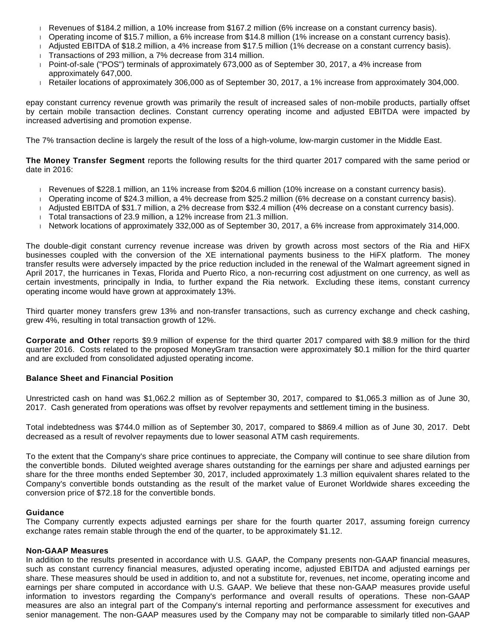- Revenues of \$184.2 million, a 10% increase from \$167.2 million (6% increase on a constant currency basis).
- Operating income of \$15.7 million, a 6% increase from \$14.8 million (1% increase on a constant currency basis).
- Adjusted EBITDA of \$18.2 million, a 4% increase from \$17.5 million (1% decrease on a constant currency basis).
- Transactions of 293 million, a 7% decrease from 314 million.
- Point-of-sale ("POS") terminals of approximately 673,000 as of September 30, 2017, a 4% increase from approximately 647,000.
- Retailer locations of approximately 306,000 as of September 30, 2017, a 1% increase from approximately 304,000.

epay constant currency revenue growth was primarily the result of increased sales of non-mobile products, partially offset by certain mobile transaction declines. Constant currency operating income and adjusted EBITDA were impacted by increased advertising and promotion expense.

The 7% transaction decline is largely the result of the loss of a high-volume, low-margin customer in the Middle East.

**The Money Transfer Segment** reports the following results for the third quarter 2017 compared with the same period or date in 2016:

- Revenues of \$228.1 million, an 11% increase from \$204.6 million (10% increase on a constant currency basis).
- Operating income of \$24.3 million, a 4% decrease from \$25.2 million (6% decrease on a constant currency basis).
- Adjusted EBITDA of \$31.7 million, a 2% decrease from \$32.4 million (4% decrease on a constant currency basis).
- Total transactions of 23.9 million, a 12% increase from 21.3 million.
- Network locations of approximately 332,000 as of September 30, 2017, a 6% increase from approximately 314,000.

The double-digit constant currency revenue increase was driven by growth across most sectors of the Ria and HiFX businesses coupled with the conversion of the XE international payments business to the HiFX platform. The money transfer results were adversely impacted by the price reduction included in the renewal of the Walmart agreement signed in April 2017, the hurricanes in Texas, Florida and Puerto Rico, a non-recurring cost adjustment on one currency, as well as certain investments, principally in India, to further expand the Ria network. Excluding these items, constant currency operating income would have grown at approximately 13%.

Third quarter money transfers grew 13% and non-transfer transactions, such as currency exchange and check cashing, grew 4%, resulting in total transaction growth of 12%.

**Corporate and Other** reports \$9.9 million of expense for the third quarter 2017 compared with \$8.9 million for the third quarter 2016. Costs related to the proposed MoneyGram transaction were approximately \$0.1 million for the third quarter and are excluded from consolidated adjusted operating income.

## **Balance Sheet and Financial Position**

Unrestricted cash on hand was \$1,062.2 million as of September 30, 2017, compared to \$1,065.3 million as of June 30, 2017. Cash generated from operations was offset by revolver repayments and settlement timing in the business.

Total indebtedness was \$744.0 million as of September 30, 2017, compared to \$869.4 million as of June 30, 2017. Debt decreased as a result of revolver repayments due to lower seasonal ATM cash requirements.

To the extent that the Company's share price continues to appreciate, the Company will continue to see share dilution from the convertible bonds. Diluted weighted average shares outstanding for the earnings per share and adjusted earnings per share for the three months ended September 30, 2017, included approximately 1.3 million equivalent shares related to the Company's convertible bonds outstanding as the result of the market value of Euronet Worldwide shares exceeding the conversion price of \$72.18 for the convertible bonds.

#### **Guidance**

The Company currently expects adjusted earnings per share for the fourth quarter 2017, assuming foreign currency exchange rates remain stable through the end of the quarter, to be approximately \$1.12.

#### **Non-GAAP Measures**

In addition to the results presented in accordance with U.S. GAAP, the Company presents non-GAAP financial measures, such as constant currency financial measures, adjusted operating income, adjusted EBITDA and adjusted earnings per share. These measures should be used in addition to, and not a substitute for, revenues, net income, operating income and earnings per share computed in accordance with U.S. GAAP. We believe that these non-GAAP measures provide useful information to investors regarding the Company's performance and overall results of operations. These non-GAAP measures are also an integral part of the Company's internal reporting and performance assessment for executives and senior management. The non-GAAP measures used by the Company may not be comparable to similarly titled non-GAAP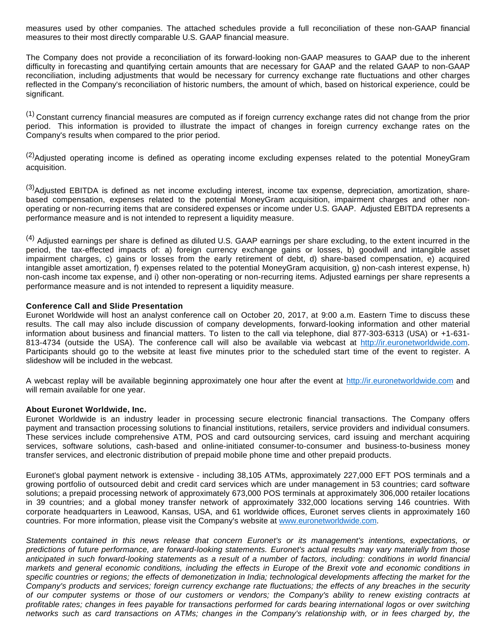measures used by other companies. The attached schedules provide a full reconciliation of these non-GAAP financial measures to their most directly comparable U.S. GAAP financial measure.

The Company does not provide a reconciliation of its forward-looking non-GAAP measures to GAAP due to the inherent difficulty in forecasting and quantifying certain amounts that are necessary for GAAP and the related GAAP to non-GAAP reconciliation, including adjustments that would be necessary for currency exchange rate fluctuations and other charges reflected in the Company's reconciliation of historic numbers, the amount of which, based on historical experience, could be significant.

(1) Constant currency financial measures are computed as if foreign currency exchange rates did not change from the prior period. This information is provided to illustrate the impact of changes in foreign currency exchange rates on the Company's results when compared to the prior period.

<sup>(2)</sup>Adjusted operating income is defined as operating income excluding expenses related to the potential MoneyGram acquisition.

<sup>(3)</sup>Adiusted EBITDA is defined as net income excluding interest, income tax expense, depreciation, amortization, sharebased compensation, expenses related to the potential MoneyGram acquisition, impairment charges and other nonoperating or non-recurring items that are considered expenses or income under U.S. GAAP. Adjusted EBITDA represents a performance measure and is not intended to represent a liquidity measure.

 $(4)$  Adiusted earnings per share is defined as diluted U.S. GAAP earnings per share excluding, to the extent incurred in the period, the tax-effected impacts of: a) foreign currency exchange gains or losses, b) goodwill and intangible asset impairment charges, c) gains or losses from the early retirement of debt, d) share-based compensation, e) acquired intangible asset amortization, f) expenses related to the potential MoneyGram acquisition, g) non-cash interest expense, h) non-cash income tax expense, and i) other non-operating or non-recurring items. Adjusted earnings per share represents a performance measure and is not intended to represent a liquidity measure.

## **Conference Call and Slide Presentation**

Euronet Worldwide will host an analyst conference call on October 20, 2017, at 9:00 a.m. Eastern Time to discuss these results. The call may also include discussion of company developments, forward-looking information and other material information about business and financial matters. To listen to the call via telephone, dial 877-303-6313 (USA) or +1-631- 813-4734 (outside the USA). The conference call will also be available via webcast at [http://ir.euronetworldwide.com](http://ir.euronetworldwide.com/). Participants should go to the website at least five minutes prior to the scheduled start time of the event to register. A slideshow will be included in the webcast.

A webcast replay will be available beginning approximately one hour after the event at [http://ir.euronetworldwide.com](http://ir.euronetworldwide.com/) and will remain available for one year.

#### **About Euronet Worldwide, Inc.**

Euronet Worldwide is an industry leader in processing secure electronic financial transactions. The Company offers payment and transaction processing solutions to financial institutions, retailers, service providers and individual consumers. These services include comprehensive ATM, POS and card outsourcing services, card issuing and merchant acquiring services, software solutions, cash-based and online-initiated consumer-to-consumer and business-to-business money transfer services, and electronic distribution of prepaid mobile phone time and other prepaid products.

Euronet's global payment network is extensive - including 38,105 ATMs, approximately 227,000 EFT POS terminals and a growing portfolio of outsourced debit and credit card services which are under management in 53 countries; card software solutions; a prepaid processing network of approximately 673,000 POS terminals at approximately 306,000 retailer locations in 39 countries; and a global money transfer network of approximately 332,000 locations serving 146 countries. With corporate headquarters in Leawood, Kansas, USA, and 61 worldwide offices, Euronet serves clients in approximately 160 countries. For more information, please visit the Company's website at [www.euronetworldwide.com](http://www.euronetworldwide.com/).

Statements contained in this news release that concern Euronet's or its management's intentions, expectations, or predictions of future performance, are forward-looking statements. Euronet's actual results may vary materially from those anticipated in such forward-looking statements as a result of a number of factors, including: conditions in world financial markets and general economic conditions, including the effects in Europe of the Brexit vote and economic conditions in specific countries or regions; the effects of demonetization in India; technological developments affecting the market for the Company's products and services; foreign currency exchange rate fluctuations; the effects of any breaches in the security of our computer systems or those of our customers or vendors; the Company's ability to renew existing contracts at profitable rates; changes in fees payable for transactions performed for cards bearing international logos or over switching networks such as card transactions on ATMs; changes in the Company's relationship with, or in fees charged by, the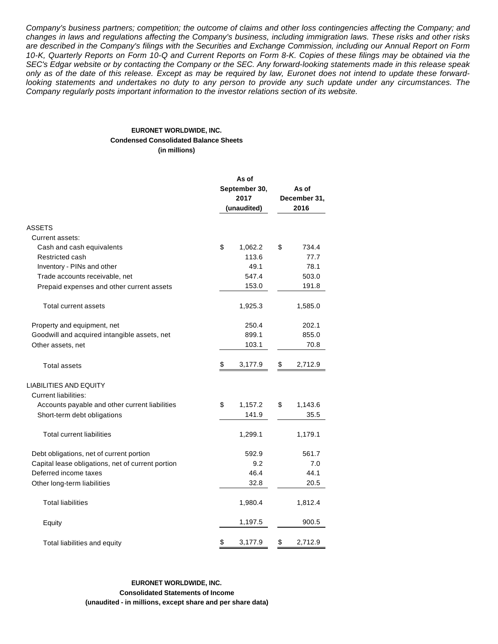Company's business partners; competition; the outcome of claims and other loss contingencies affecting the Company; and changes in laws and regulations affecting the Company's business, including immigration laws. These risks and other risks are described in the Company's filings with the Securities and Exchange Commission, including our Annual Report on Form 10-K, Quarterly Reports on Form 10-Q and Current Reports on Form 8-K. Copies of these filings may be obtained via the SEC's Edgar website or by contacting the Company or the SEC. Any forward-looking statements made in this release speak only as of the date of this release. Except as may be required by law, Euronet does not intend to update these forwardlooking statements and undertakes no duty to any person to provide any such update under any circumstances. The Company regularly posts important information to the investor relations section of its website.

#### **EURONET WORLDWIDE, INC. Condensed Consolidated Balance Sheets (in millions)**

|                                                   | As of<br>September 30,<br>2017<br>(unaudited) | As of<br>December 31,<br>2016 |         |  |  |  |
|---------------------------------------------------|-----------------------------------------------|-------------------------------|---------|--|--|--|
|                                                   |                                               |                               |         |  |  |  |
| ASSETS                                            |                                               |                               |         |  |  |  |
| Current assets:                                   |                                               |                               |         |  |  |  |
| Cash and cash equivalents                         | \$<br>1,062.2                                 | \$                            | 734.4   |  |  |  |
| Restricted cash                                   | 113.6                                         |                               | 77.7    |  |  |  |
| Inventory - PINs and other                        | 49.1                                          |                               | 78.1    |  |  |  |
| Trade accounts receivable, net                    | 547.4                                         |                               | 503.0   |  |  |  |
| Prepaid expenses and other current assets         | 153.0                                         |                               | 191.8   |  |  |  |
| Total current assets                              | 1,925.3                                       |                               | 1,585.0 |  |  |  |
| Property and equipment, net                       | 250.4                                         |                               | 202.1   |  |  |  |
| Goodwill and acquired intangible assets, net      | 899.1                                         |                               | 855.0   |  |  |  |
| Other assets, net                                 | 103.1                                         |                               | 70.8    |  |  |  |
| <b>Total assets</b>                               | \$<br>3,177.9                                 | \$                            | 2,712.9 |  |  |  |
| <b>LIABILITIES AND EQUITY</b>                     |                                               |                               |         |  |  |  |
| <b>Current liabilities:</b>                       |                                               |                               |         |  |  |  |
| Accounts payable and other current liabilities    | \$<br>1,157.2                                 | \$                            | 1,143.6 |  |  |  |
| Short-term debt obligations                       | 141.9                                         |                               | 35.5    |  |  |  |
| <b>Total current liabilities</b>                  | 1,299.1                                       |                               | 1,179.1 |  |  |  |
| Debt obligations, net of current portion          | 592.9                                         |                               | 561.7   |  |  |  |
| Capital lease obligations, net of current portion | 9.2                                           |                               | 7.0     |  |  |  |
| Deferred income taxes                             | 46.4                                          |                               | 44.1    |  |  |  |
| Other long-term liabilities                       | 32.8                                          |                               | 20.5    |  |  |  |
| <b>Total liabilities</b>                          | 1,980.4                                       |                               | 1,812.4 |  |  |  |
| Equity                                            | 1,197.5                                       |                               | 900.5   |  |  |  |
| Total liabilities and equity                      | \$<br>3,177.9                                 | \$                            | 2,712.9 |  |  |  |

# **EURONET WORLDWIDE, INC. Consolidated Statements of Income (unaudited - in millions, except share and per share data)**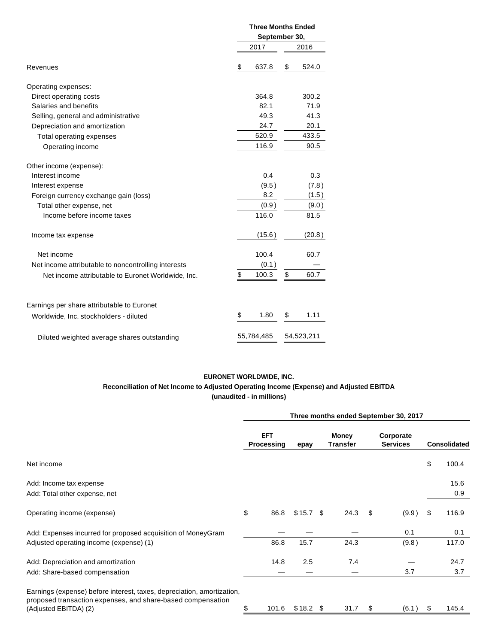|                                                     | <b>Three Months Ended</b> |    |            |  |  |  |  |
|-----------------------------------------------------|---------------------------|----|------------|--|--|--|--|
|                                                     | September 30,             |    |            |  |  |  |  |
|                                                     | 2017                      |    | 2016       |  |  |  |  |
| Revenues                                            | \$<br>637.8               | \$ | 524.0      |  |  |  |  |
| Operating expenses:                                 |                           |    |            |  |  |  |  |
| Direct operating costs                              | 364.8                     |    | 300.2      |  |  |  |  |
| Salaries and benefits                               | 82.1                      |    | 71.9       |  |  |  |  |
| Selling, general and administrative                 | 49.3                      |    | 41.3       |  |  |  |  |
| Depreciation and amortization                       | 24.7                      |    | 20.1       |  |  |  |  |
| Total operating expenses                            | 520.9                     |    | 433.5      |  |  |  |  |
| Operating income                                    | 116.9                     |    | 90.5       |  |  |  |  |
| Other income (expense):                             |                           |    |            |  |  |  |  |
| Interest income                                     | 0.4                       |    | 0.3        |  |  |  |  |
| Interest expense                                    | (9.5)                     |    | (7.8)      |  |  |  |  |
| Foreign currency exchange gain (loss)               | 8.2                       |    | (1.5)      |  |  |  |  |
| Total other expense, net                            | (0.9)                     |    | (9.0)      |  |  |  |  |
| Income before income taxes                          | 116.0                     |    | 81.5       |  |  |  |  |
| Income tax expense                                  | (15.6)                    |    | (20.8)     |  |  |  |  |
| Net income                                          | 100.4                     |    | 60.7       |  |  |  |  |
| Net income attributable to noncontrolling interests | (0.1)                     |    |            |  |  |  |  |
| Net income attributable to Euronet Worldwide, Inc.  | \$<br>100.3               | \$ | 60.7       |  |  |  |  |
| Earnings per share attributable to Euronet          |                           |    |            |  |  |  |  |
| Worldwide, Inc. stockholders - diluted              | \$<br>1.80                | \$ | 1.11       |  |  |  |  |
|                                                     |                           |    |            |  |  |  |  |
| Diluted weighted average shares outstanding         | 55,784,485                |    | 54,523,211 |  |  |  |  |

# **EURONET WORLDWIDE, INC. Reconciliation of Net Income to Adjusted Operating Income (Expense) and Adjusted EBITDA (unaudited - in millions)**

|                                                                                                                                       | Three months ended September 30, 2017 |                          |            |  |                                 |    |                              |    |                     |
|---------------------------------------------------------------------------------------------------------------------------------------|---------------------------------------|--------------------------|------------|--|---------------------------------|----|------------------------------|----|---------------------|
|                                                                                                                                       |                                       | <b>EFT</b><br>Processing |            |  | <b>Money</b><br><b>Transfer</b> |    | Corporate<br><b>Services</b> |    | <b>Consolidated</b> |
| Net income                                                                                                                            |                                       |                          |            |  |                                 |    |                              | \$ | 100.4               |
| Add: Income tax expense<br>Add: Total other expense, net                                                                              |                                       |                          |            |  |                                 |    |                              |    | 15.6<br>0.9         |
| Operating income (expense)                                                                                                            | \$                                    | 86.8                     | $$15.7$ \$ |  | 24.3                            | \$ | (9.9)                        | \$ | 116.9               |
| Add: Expenses incurred for proposed acquisition of MoneyGram                                                                          |                                       |                          |            |  |                                 |    | 0.1                          |    | 0.1                 |
| Adjusted operating income (expense) (1)                                                                                               |                                       | 86.8                     | 15.7       |  | 24.3                            |    | (9.8)                        |    | 117.0               |
| Add: Depreciation and amortization                                                                                                    |                                       | 14.8                     | 2.5        |  | 7.4                             |    |                              |    | 24.7                |
| Add: Share-based compensation                                                                                                         |                                       |                          |            |  |                                 |    | 3.7                          |    | 3.7                 |
| Earnings (expense) before interest, taxes, depreciation, amortization,<br>proposed transaction expenses, and share-based compensation |                                       |                          |            |  |                                 |    |                              |    |                     |
| (Adjusted EBITDA) (2)                                                                                                                 |                                       | 101.6                    | $$18.2$ \$ |  | 31.7                            | \$ | (6.1)                        | \$ | 145.4               |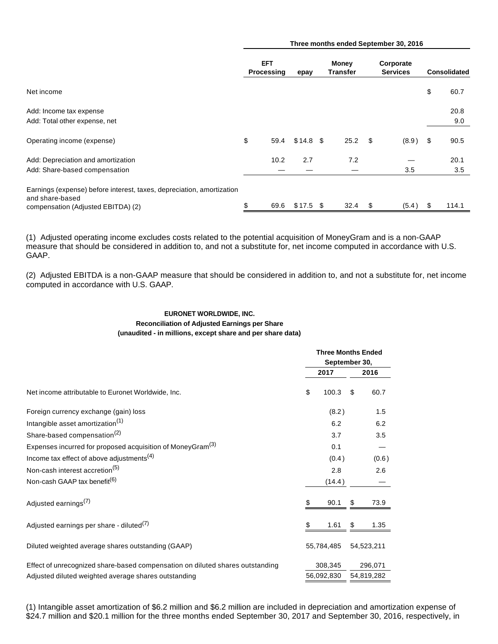|                                                                                                                                | Three months ended September 30, 2016 |                          |            |                                 |      |                              |       |                     |             |
|--------------------------------------------------------------------------------------------------------------------------------|---------------------------------------|--------------------------|------------|---------------------------------|------|------------------------------|-------|---------------------|-------------|
|                                                                                                                                |                                       | <b>EFT</b><br>Processing |            | <b>Money</b><br><b>Transfer</b> |      | Corporate<br><b>Services</b> |       | <b>Consolidated</b> |             |
| Net income                                                                                                                     |                                       |                          |            |                                 |      |                              |       | \$                  | 60.7        |
| Add: Income tax expense<br>Add: Total other expense, net                                                                       |                                       |                          |            |                                 |      |                              |       |                     | 20.8<br>9.0 |
| Operating income (expense)                                                                                                     | \$                                    | 59.4                     | $$14.8$ \$ |                                 | 25.2 | - \$                         | (8.9) | \$                  | 90.5        |
| Add: Depreciation and amortization<br>Add: Share-based compensation                                                            |                                       | 10.2                     | 2.7        |                                 | 7.2  |                              | 3.5   |                     | 20.1<br>3.5 |
| Earnings (expense) before interest, taxes, depreciation, amortization<br>and share-based<br>compensation (Adjusted EBITDA) (2) |                                       | 69.6                     | $$17.5$ \$ |                                 | 32.4 | \$                           | (5.4) | \$                  | 114.1       |

(1) Adjusted operating income excludes costs related to the potential acquisition of MoneyGram and is a non-GAAP measure that should be considered in addition to, and not a substitute for, net income computed in accordance with U.S. GAAP.

(2) Adjusted EBITDA is a non-GAAP measure that should be considered in addition to, and not a substitute for, net income computed in accordance with U.S. GAAP.

# **EURONET WORLDWIDE, INC. Reconciliation of Adjusted Earnings per Share (unaudited - in millions, except share and per share data)**

|                                                                               | <b>Three Months Ended</b><br>September 30, |            |    |            |  |  |
|-------------------------------------------------------------------------------|--------------------------------------------|------------|----|------------|--|--|
|                                                                               |                                            | 2017       |    | 2016       |  |  |
| Net income attributable to Euronet Worldwide, Inc.                            | \$                                         | 100.3      | \$ | 60.7       |  |  |
| Foreign currency exchange (gain) loss                                         |                                            | (8.2)      |    | 1.5        |  |  |
| Intangible asset amortization <sup>(1)</sup>                                  |                                            | 6.2        |    | 6.2        |  |  |
| Share-based compensation <sup>(2)</sup>                                       |                                            | 3.7        |    | 3.5        |  |  |
| Expenses incurred for proposed acquisition of MoneyGram <sup>(3)</sup>        |                                            | 0.1        |    |            |  |  |
| Income tax effect of above adjustments <sup>(4)</sup>                         |                                            | (0.4)      |    | (0.6)      |  |  |
| Non-cash interest accretion <sup>(5)</sup>                                    |                                            | 2.8        |    | 2.6        |  |  |
| Non-cash GAAP tax benefit <sup>(6)</sup>                                      |                                            | (14.4)     |    |            |  |  |
| Adjusted earnings <sup>(7)</sup>                                              |                                            | 90.1       | \$ | 73.9       |  |  |
| Adjusted earnings per share - diluted $(7)$                                   | \$                                         | 1.61       | \$ | 1.35       |  |  |
| Diluted weighted average shares outstanding (GAAP)                            |                                            | 55,784,485 |    | 54,523,211 |  |  |
| Effect of unrecognized share-based compensation on diluted shares outstanding |                                            | 308,345    |    | 296,071    |  |  |
| Adjusted diluted weighted average shares outstanding                          |                                            | 56,092,830 |    | 54,819,282 |  |  |

(1) Intangible asset amortization of \$6.2 million and \$6.2 million are included in depreciation and amortization expense of \$24.7 million and \$20.1 million for the three months ended September 30, 2017 and September 30, 2016, respectively, in